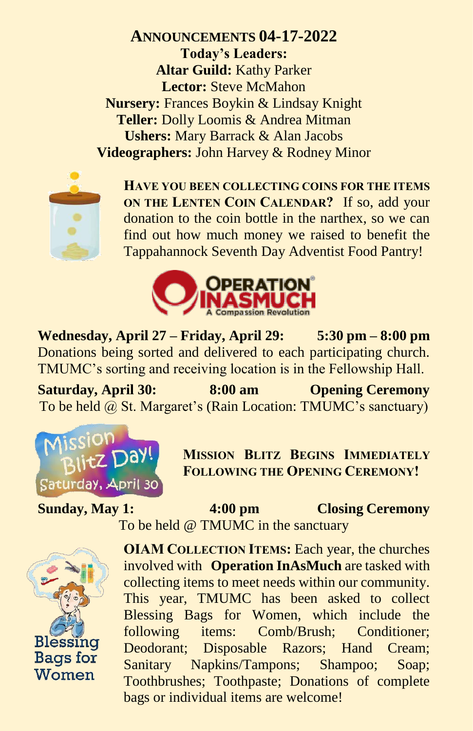**ANNOUNCEMENTS 04-17-2022 Today's Leaders: Altar Guild:** Kathy Parker **Lector:** Steve McMahon **Nursery:** Frances Boykin & Lindsay Knight **Teller:** Dolly Loomis & Andrea Mitman **Ushers:** Mary Barrack & Alan Jacobs **Videographers:** John Harvey & Rodney Minor



**HAVE YOU BEEN COLLECTING COINS FOR THE ITEMS ON THE LENTEN COIN CALENDAR?** If so, add your donation to the coin bottle in the narthex, so we can find out how much money we raised to benefit the Tappahannock Seventh Day Adventist Food Pantry!



**Wednesday, April 27 – Friday, April 29: 5:30 pm – 8:00 pm** Donations being sorted and delivered to each participating church. TMUMC's sorting and receiving location is in the Fellowship Hall.

**Saturday, April 30: 8:00 am Opening Ceremony** To be held @ St. Margaret's (Rain Location: TMUMC's sanctuary)



**MISSION BLITZ BEGINS IMMEDIATELY FOLLOWING THE OPENING CEREMONY!**

**Sunday, May 1: 4:00 pm Closing Ceremony** To be held @ TMUMC in the sanctuary



**OIAM COLLECTION ITEMS:** Each year, the churches involved with **Operation InAsMuch** are tasked with collecting items to meet needs within our community. This year, TMUMC has been asked to collect Blessing Bags for Women, which include the following items: Comb/Brush; Conditioner; Deodorant; Disposable Razors; Hand Cream; Sanitary Napkins/Tampons; Shampoo; Soap; Toothbrushes; Toothpaste; Donations of complete bags or individual items are welcome!